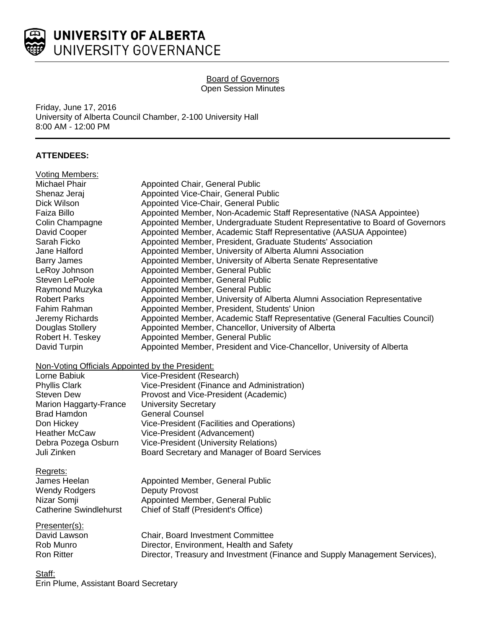

## Board of Governors Open Session Minutes

Friday, June 17, 2016 University of Alberta Council Chamber, 2-100 University Hall 8:00 AM - 12:00 PM

# **ATTENDEES:**

| <b>Voting Members:</b>                           |                                                                              |
|--------------------------------------------------|------------------------------------------------------------------------------|
| <b>Michael Phair</b>                             | Appointed Chair, General Public                                              |
| Shenaz Jeraj                                     | Appointed Vice-Chair, General Public                                         |
| Dick Wilson                                      | Appointed Vice-Chair, General Public                                         |
| Faiza Billo                                      | Appointed Member, Non-Academic Staff Representative (NASA Appointee)         |
| Colin Champagne                                  | Appointed Member, Undergraduate Student Representative to Board of Governors |
| David Cooper                                     | Appointed Member, Academic Staff Representative (AASUA Appointee)            |
| Sarah Ficko                                      | Appointed Member, President, Graduate Students' Association                  |
| Jane Halford                                     | Appointed Member, University of Alberta Alumni Association                   |
| <b>Barry James</b>                               | Appointed Member, University of Alberta Senate Representative                |
| LeRoy Johnson                                    | Appointed Member, General Public                                             |
| Steven LePoole                                   | Appointed Member, General Public                                             |
| Raymond Muzyka                                   | Appointed Member, General Public                                             |
| <b>Robert Parks</b>                              | Appointed Member, University of Alberta Alumni Association Representative    |
| Fahim Rahman                                     | Appointed Member, President, Students' Union                                 |
| Jeremy Richards                                  | Appointed Member, Academic Staff Representative (General Faculties Council)  |
| Douglas Stollery                                 | Appointed Member, Chancellor, University of Alberta                          |
| Robert H. Teskey                                 | Appointed Member, General Public                                             |
| David Turpin                                     | Appointed Member, President and Vice-Chancellor, University of Alberta       |
| Non-Voting Officials Appointed by the President: |                                                                              |
| Lorne Babiuk                                     | Vice-President (Research)                                                    |
| <b>Phyllis Clark</b>                             | Vice-President (Finance and Administration)                                  |
| Steven Dew                                       | Provost and Vice-President (Academic)                                        |
| Marion Haggarty-France                           | <b>University Secretary</b>                                                  |
| <b>Brad Hamdon</b>                               | <b>General Counsel</b>                                                       |
| Don Hickey                                       | Vice-President (Facilities and Operations)                                   |
| <b>Heather McCaw</b>                             | Vice-President (Advancement)                                                 |
| Debra Pozega Osburn                              | Vice-President (University Relations)                                        |
| Juli Zinken                                      | Board Secretary and Manager of Board Services                                |
| Regrets:                                         |                                                                              |
| James Heelan                                     | Appointed Member, General Public                                             |
| <b>Wendy Rodgers</b>                             | <b>Deputy Provost</b>                                                        |
| Nizar Somji                                      | Appointed Member, General Public                                             |
| <b>Catherine Swindlehurst</b>                    | Chief of Staff (President's Office)                                          |
| Presenter(s):                                    |                                                                              |
| David Lawson                                     | Chair, Board Investment Committee                                            |
| Rob Munro                                        | Director, Environment, Health and Safety                                     |
| <b>Ron Ritter</b>                                | Director, Treasury and Investment (Finance and Supply Management Services),  |
| $0.1 - 0.0$                                      |                                                                              |

<u>Staff:</u> Erin Plume, Assistant Board Secretary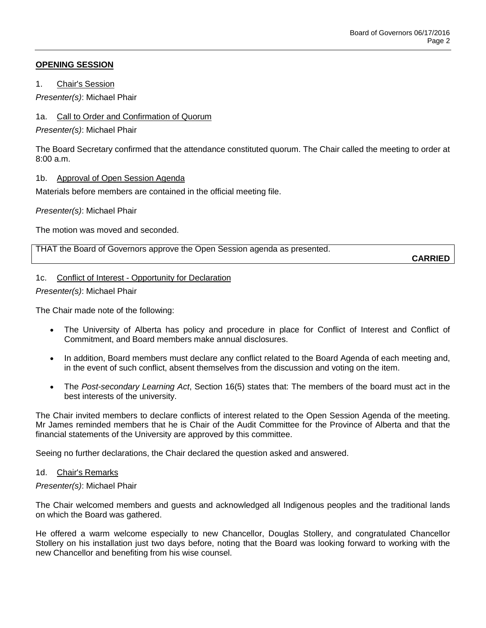## **OPENING SESSION**

1. Chair's Session

*Presenter(s)*: Michael Phair

## 1a. Call to Order and Confirmation of Quorum

*Presenter(s)*: Michael Phair

The Board Secretary confirmed that the attendance constituted quorum. The Chair called the meeting to order at 8:00 a.m.

### 1b. Approval of Open Session Agenda

Materials before members are contained in the official meeting file.

*Presenter(s)*: Michael Phair

The motion was moved and seconded.

THAT the Board of Governors approve the Open Session agenda as presented.

**CARRIED**

### 1c. Conflict of Interest - Opportunity for Declaration

*Presenter(s)*: Michael Phair

The Chair made note of the following:

- The University of Alberta has policy and procedure in place for Conflict of Interest and Conflict of Commitment, and Board members make annual disclosures.
- In addition, Board members must declare any conflict related to the Board Agenda of each meeting and, in the event of such conflict, absent themselves from the discussion and voting on the item.
- The *Post-secondary Learning Act*, Section 16(5) states that: The members of the board must act in the best interests of the university.

The Chair invited members to declare conflicts of interest related to the Open Session Agenda of the meeting. Mr James reminded members that he is Chair of the Audit Committee for the Province of Alberta and that the financial statements of the University are approved by this committee.

Seeing no further declarations, the Chair declared the question asked and answered.

#### 1d. Chair's Remarks

*Presenter(s)*: Michael Phair

The Chair welcomed members and guests and acknowledged all Indigenous peoples and the traditional lands on which the Board was gathered.

He offered a warm welcome especially to new Chancellor, Douglas Stollery, and congratulated Chancellor Stollery on his installation just two days before, noting that the Board was looking forward to working with the new Chancellor and benefiting from his wise counsel.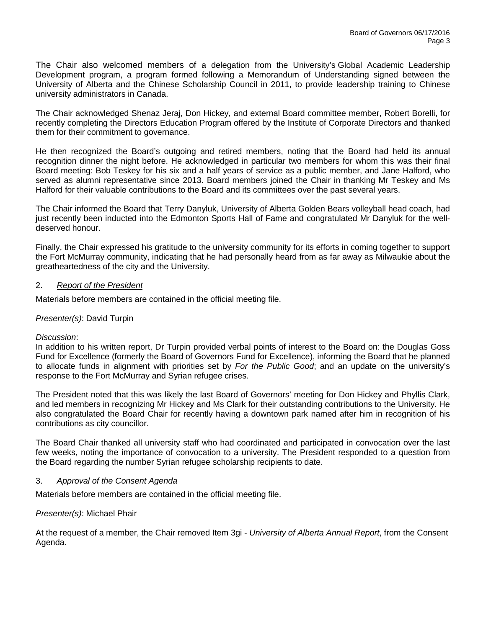The Chair also welcomed members of a delegation from the University's Global Academic Leadership Development program, a program formed following a Memorandum of Understanding signed between the University of Alberta and the Chinese Scholarship Council in 2011, to provide leadership training to Chinese university administrators in Canada.

The Chair acknowledged Shenaz Jeraj, Don Hickey, and external Board committee member, Robert Borelli, for recently completing the Directors Education Program offered by the Institute of Corporate Directors and thanked them for their commitment to governance.

He then recognized the Board's outgoing and retired members, noting that the Board had held its annual recognition dinner the night before. He acknowledged in particular two members for whom this was their final Board meeting: Bob Teskey for his six and a half years of service as a public member, and Jane Halford, who served as alumni representative since 2013. Board members joined the Chair in thanking Mr Teskey and Ms Halford for their valuable contributions to the Board and its committees over the past several years.

The Chair informed the Board that Terry Danyluk, University of Alberta Golden Bears volleyball head coach, had just recently been inducted into the Edmonton Sports Hall of Fame and congratulated Mr Danyluk for the welldeserved honour.

Finally, the Chair expressed his gratitude to the university community for its efforts in coming together to support the Fort McMurray community, indicating that he had personally heard from as far away as Milwaukie about the greatheartedness of the city and the University.

### 2. *Report of the President*

Materials before members are contained in the official meeting file.

## *Presenter(s)*: David Turpin

### *Discussion*:

In addition to his written report, Dr Turpin provided verbal points of interest to the Board on: the Douglas Goss Fund for Excellence (formerly the Board of Governors Fund for Excellence), informing the Board that he planned to allocate funds in alignment with priorities set by *For the Public Good*; and an update on the university's response to the Fort McMurray and Syrian refugee crises.

The President noted that this was likely the last Board of Governors' meeting for Don Hickey and Phyllis Clark, and led members in recognizing Mr Hickey and Ms Clark for their outstanding contributions to the University. He also congratulated the Board Chair for recently having a downtown park named after him in recognition of his contributions as city councillor.

The Board Chair thanked all university staff who had coordinated and participated in convocation over the last few weeks, noting the importance of convocation to a university. The President responded to a question from the Board regarding the number Syrian refugee scholarship recipients to date.

### 3. *Approval of the Consent Agenda*

Materials before members are contained in the official meeting file.

### *Presenter(s)*: Michael Phair

At the request of a member, the Chair removed Item 3gi - *University of Alberta Annual Report*, from the Consent Agenda.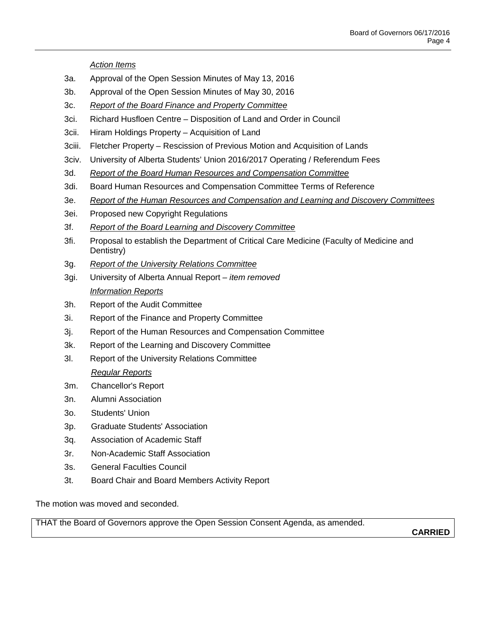*Action Items*

- 3a. Approval of the Open Session Minutes of May 13, 2016
- 3b. Approval of the Open Session Minutes of May 30, 2016
- 3c. *Report of the Board Finance and Property Committee*
- 3ci. Richard Husfloen Centre Disposition of Land and Order in Council
- 3cii. Hiram Holdings Property Acquisition of Land
- 3ciii. Fletcher Property Rescission of Previous Motion and Acquisition of Lands
- 3civ. University of Alberta Students' Union 2016/2017 Operating / Referendum Fees
- 3d. *Report of the Board Human Resources and Compensation Committee*
- 3di. Board Human Resources and Compensation Committee Terms of Reference
- 3e. *Report of the Human Resources and Compensation and Learning and Discovery Committees*
- 3ei. Proposed new Copyright Regulations
- 3f. *Report of the Board Learning and Discovery Committee*
- 3fi. Proposal to establish the Department of Critical Care Medicine (Faculty of Medicine and Dentistry)
- 3g. *Report of the University Relations Committee*
- 3gi. University of Alberta Annual Report *– item removed Information Reports*
- 3h. Report of the Audit Committee
- 3i. Report of the Finance and Property Committee
- 3j. Report of the Human Resources and Compensation Committee
- 3k. Report of the Learning and Discovery Committee
- 3l. Report of the University Relations Committee

# *Regular Reports*

- 3m. Chancellor's Report
- 3n. Alumni Association
- 3o. Students' Union
- 3p. Graduate Students' Association
- 3q. Association of Academic Staff
- 3r. Non-Academic Staff Association
- 3s. General Faculties Council
- 3t. Board Chair and Board Members Activity Report

The motion was moved and seconded.

THAT the Board of Governors approve the Open Session Consent Agenda, as amended.

**CARRIED**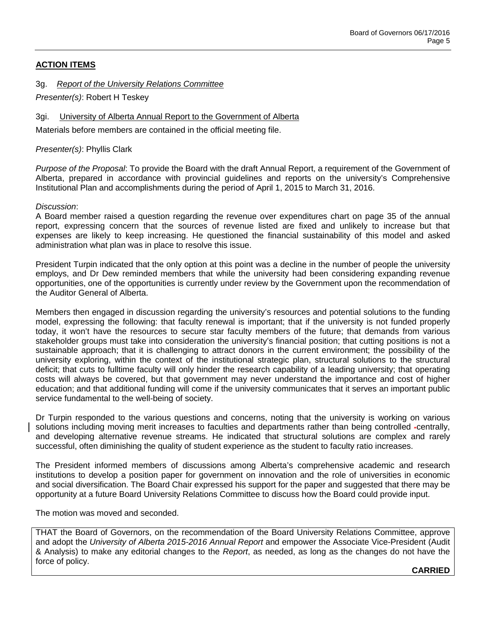# **ACTION ITEMS**

3g. *Report of the University Relations Committee*

*Presenter(s)*: Robert H Teskey

### 3gi. University of Alberta Annual Report to the Government of Alberta

Materials before members are contained in the official meeting file.

*Presenter(s)*: Phyllis Clark

*Purpose of the Proposal*: To provide the Board with the draft Annual Report, a requirement of the Government of Alberta, prepared in accordance with provincial guidelines and reports on the university's Comprehensive Institutional Plan and accomplishments during the period of April 1, 2015 to March 31, 2016.

#### *Discussion*:

A Board member raised a question regarding the revenue over expenditures chart on page 35 of the annual report, expressing concern that the sources of revenue listed are fixed and unlikely to increase but that expenses are likely to keep increasing. He questioned the financial sustainability of this model and asked administration what plan was in place to resolve this issue.

President Turpin indicated that the only option at this point was a decline in the number of people the university employs, and Dr Dew reminded members that while the university had been considering expanding revenue opportunities, one of the opportunities is currently under review by the Government upon the recommendation of the Auditor General of Alberta.

Members then engaged in discussion regarding the university's resources and potential solutions to the funding model, expressing the following: that faculty renewal is important; that if the university is not funded properly today, it won't have the resources to secure star faculty members of the future; that demands from various stakeholder groups must take into consideration the university's financial position; that cutting positions is not a sustainable approach; that it is challenging to attract donors in the current environment; the possibility of the university exploring, within the context of the institutional strategic plan, structural solutions to the structural deficit; that cuts to fulltime faculty will only hinder the research capability of a leading university; that operating costs will always be covered, but that government may never understand the importance and cost of higher education; and that additional funding will come if the university communicates that it serves an important public service fundamental to the well-being of society.

Dr Turpin responded to the various questions and concerns, noting that the university is working on various solutions including moving merit increases to faculties and departments rather than being controlled -centrally, and developing alternative revenue streams. He indicated that structural solutions are complex and rarely successful, often diminishing the quality of student experience as the student to faculty ratio increases.

The President informed members of discussions among Alberta's comprehensive academic and research institutions to develop a position paper for government on innovation and the role of universities in economic and social diversification. The Board Chair expressed his support for the paper and suggested that there may be opportunity at a future Board University Relations Committee to discuss how the Board could provide input.

The motion was moved and seconded.

THAT the Board of Governors, on the recommendation of the Board University Relations Committee, approve and adopt the *University of Alberta 2015-2016 Annual Report* and empower the Associate Vice-President (Audit & Analysis) to make any editorial changes to the *Report*, as needed, as long as the changes do not have the force of policy.

**CARRIED**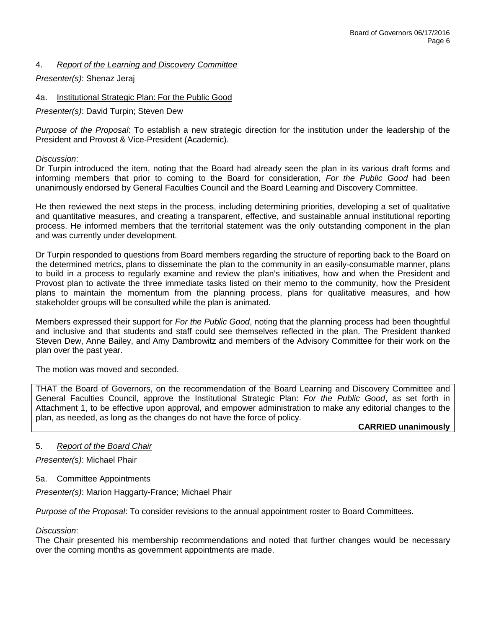## 4. *Report of the Learning and Discovery Committee*

*Presenter(s)*: Shenaz Jeraj

4a. Institutional Strategic Plan: For the Public Good

*Presenter(s)*: David Turpin; Steven Dew

*Purpose of the Proposal*: To establish a new strategic direction for the institution under the leadership of the President and Provost & Vice-President (Academic).

### *Discussion*:

Dr Turpin introduced the item, noting that the Board had already seen the plan in its various draft forms and informing members that prior to coming to the Board for consideration, *For the Public Good* had been unanimously endorsed by General Faculties Council and the Board Learning and Discovery Committee.

He then reviewed the next steps in the process, including determining priorities, developing a set of qualitative and quantitative measures, and creating a transparent, effective, and sustainable annual institutional reporting process. He informed members that the territorial statement was the only outstanding component in the plan and was currently under development.

Dr Turpin responded to questions from Board members regarding the structure of reporting back to the Board on the determined metrics, plans to disseminate the plan to the community in an easily-consumable manner, plans to build in a process to regularly examine and review the plan's initiatives, how and when the President and Provost plan to activate the three immediate tasks listed on their memo to the community, how the President plans to maintain the momentum from the planning process, plans for qualitative measures, and how stakeholder groups will be consulted while the plan is animated.

Members expressed their support for *For the Public Good*, noting that the planning process had been thoughtful and inclusive and that students and staff could see themselves reflected in the plan. The President thanked Steven Dew, Anne Bailey, and Amy Dambrowitz and members of the Advisory Committee for their work on the plan over the past year.

The motion was moved and seconded.

THAT the Board of Governors, on the recommendation of the Board Learning and Discovery Committee and General Faculties Council, approve the Institutional Strategic Plan: *For the Public Good*, as set forth in Attachment 1, to be effective upon approval, and empower administration to make any editorial changes to the plan, as needed, as long as the changes do not have the force of policy.

### **CARRIED unanimously**

### 5. *Report of the Board Chair*

*Presenter(s)*: Michael Phair

### 5a. Committee Appointments

*Presenter(s)*: Marion Haggarty-France; Michael Phair

*Purpose of the Proposal*: To consider revisions to the annual appointment roster to Board Committees.

### *Discussion*:

The Chair presented his membership recommendations and noted that further changes would be necessary over the coming months as government appointments are made.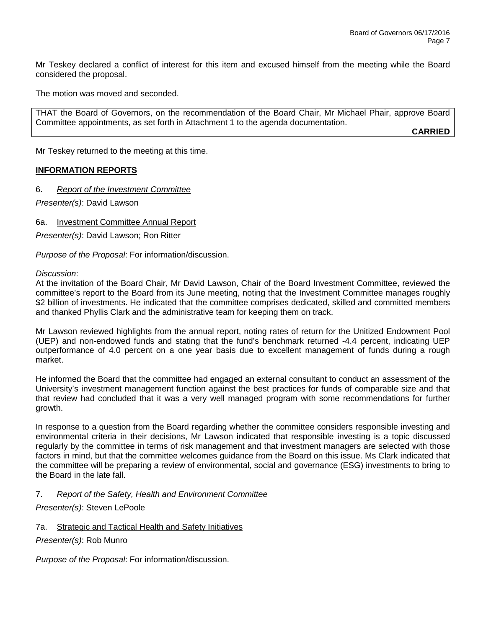Mr Teskey declared a conflict of interest for this item and excused himself from the meeting while the Board considered the proposal.

The motion was moved and seconded.

THAT the Board of Governors, on the recommendation of the Board Chair, Mr Michael Phair, approve Board Committee appointments, as set forth in Attachment 1 to the agenda documentation.

**CARRIED**

Mr Teskey returned to the meeting at this time.

### **INFORMATION REPORTS**

6. *Report of the Investment Committee*

*Presenter(s)*: David Lawson

6a. Investment Committee Annual Report

*Presenter(s)*: David Lawson; Ron Ritter

*Purpose of the Proposal*: For information/discussion.

*Discussion*:

At the invitation of the Board Chair, Mr David Lawson, Chair of the Board Investment Committee, reviewed the committee's report to the Board from its June meeting, noting that the Investment Committee manages roughly \$2 billion of investments. He indicated that the committee comprises dedicated, skilled and committed members and thanked Phyllis Clark and the administrative team for keeping them on track.

Mr Lawson reviewed highlights from the annual report, noting rates of return for the Unitized Endowment Pool (UEP) and non-endowed funds and stating that the fund's benchmark returned -4.4 percent, indicating UEP outperformance of 4.0 percent on a one year basis due to excellent management of funds during a rough market.

He informed the Board that the committee had engaged an external consultant to conduct an assessment of the University's investment management function against the best practices for funds of comparable size and that that review had concluded that it was a very well managed program with some recommendations for further growth.

In response to a question from the Board regarding whether the committee considers responsible investing and environmental criteria in their decisions, Mr Lawson indicated that responsible investing is a topic discussed regularly by the committee in terms of risk management and that investment managers are selected with those factors in mind, but that the committee welcomes guidance from the Board on this issue. Ms Clark indicated that the committee will be preparing a review of environmental, social and governance (ESG) investments to bring to the Board in the late fall.

7. *Report of the Safety, Health and Environment Committee*

*Presenter(s)*: Steven LePoole

7a. Strategic and Tactical Health and Safety Initiatives

*Presenter(s)*: Rob Munro

*Purpose of the Proposal*: For information/discussion.